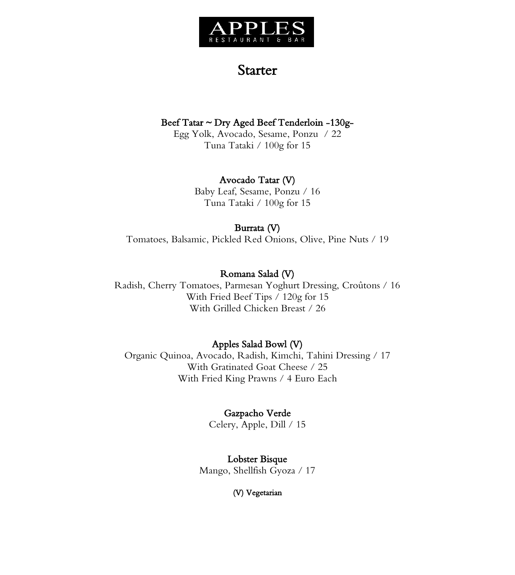

# **Starter**

#### Beef Tatar ~ Dry Aged Beef Tenderloin -130g-

Egg Yolk, Avocado, Sesame, Ponzu / 22 Tuna Tataki / 100g for 15

#### Avocado Tatar (V)

Baby Leaf, Sesame, Ponzu / 16 Tuna Tataki / 100g for 15

#### Burrata (V)

Tomatoes, Balsamic, Pickled Red Onions, Olive, Pine Nuts / 19

#### Romana Salad (V)

Radish, Cherry Tomatoes, Parmesan Yoghurt Dressing, Croûtons / 16 With Fried Beef Tips / 120g for 15 With Grilled Chicken Breast / 26

#### Apples Salad Bowl (V)

Organic Quinoa, Avocado, Radish, Kimchi, Tahini Dressing / 17 With Gratinated Goat Cheese / 25 With Fried King Prawns / 4 Euro Each

#### Gazpacho Verde

Celery, Apple, Dill / 15

### Lobster Bisque

Mango, Shellfish Gyoza / 17

#### (V) Vegetarian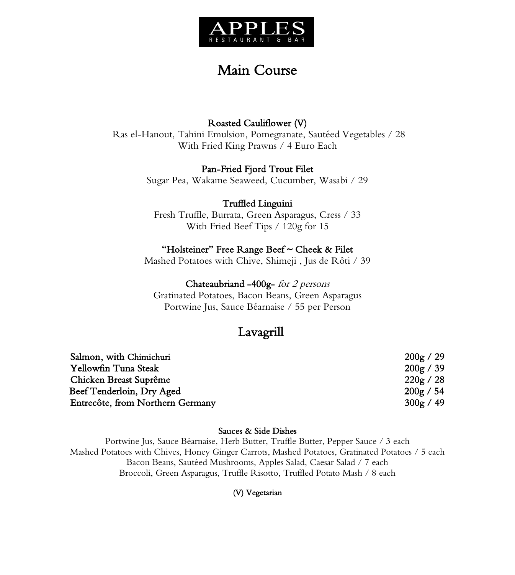

# Main Course

#### Roasted Cauliflower (V)

Ras el-Hanout, Tahini Emulsion, Pomegranate, Sautéed Vegetables / 28 With Fried King Prawns / 4 Euro Each

#### Pan-Fried Fjord Trout Filet

Sugar Pea, Wakame Seaweed, Cucumber, Wasabi / 29

#### Truffled Linguini

Fresh Truffle, Burrata, Green Asparagus, Cress / 33 With Fried Beef Tips / 120g for 15

#### "Holsteiner" Free Range Beef ~ Cheek & Filet

Mashed Potatoes with Chive, Shimeji , Jus de Rôti / 39

#### Chateaubriand -400g- for 2 persons

Gratinated Potatoes, Bacon Beans, Green Asparagus Portwine Jus, Sauce Béarnaise / 55 per Person

# Lavagrill

| Salmon, with Chimichuri          | 200g / 29 |
|----------------------------------|-----------|
| Yellowfin Tuna Steak             | 200g / 39 |
| Chicken Breast Suprême           | 220g / 28 |
| Beef Tenderloin, Dry Aged        | 200g / 54 |
| Entrecôte, from Northern Germany | 300g / 49 |

#### Sauces & Side Dishes

Portwine Jus, Sauce Béarnaise, Herb Butter, Truffle Butter, Pepper Sauce / 3 each Mashed Potatoes with Chives, Honey Ginger Carrots, Mashed Potatoes, Gratinated Potatoes / 5 each Bacon Beans, Sautéed Mushrooms, Apples Salad, Caesar Salad / 7 each Broccoli, Green Asparagus, Truffle Risotto, Truffled Potato Mash / 8 each

#### (V) Vegetarian